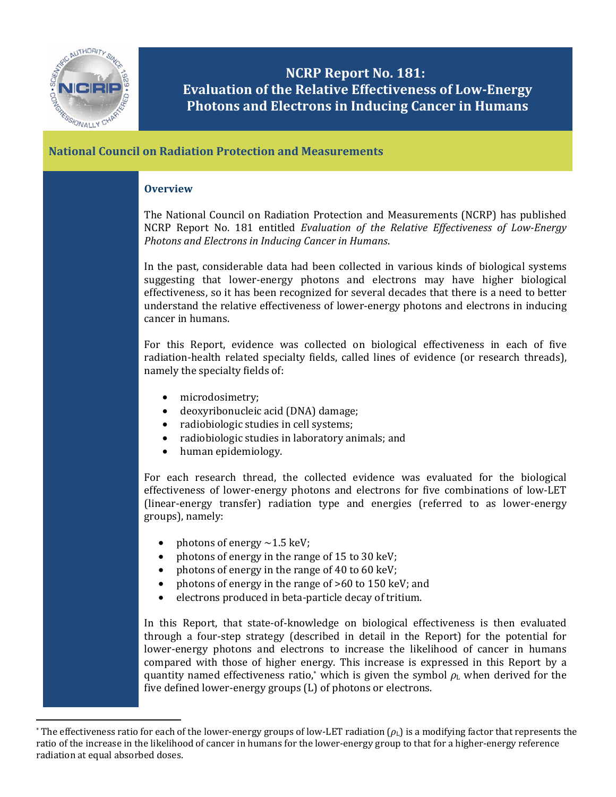

 $\overline{\phantom{a}}$ 

## **NCRP Report No. 181: Evaluation of the Relative Effectiveness of Low-Energy Photons and Electrons in Inducing Cancer in Humans**

## **National Council on Radiation Protection and Measurements**

## **Overview**

The National Council on Radiation Protection and Measurements (NCRP) has published NCRP Report No. 181 entitled *Evaluation of the Relative Effectiveness of Low-Energy Photons and Electrons in Inducing Cancer in Humans*.

In the past, considerable data had been collected in various kinds of biological systems suggesting that lower-energy photons and electrons may have higher biological effectiveness, so it has been recognized for several decades that there is a need to better understand the relative effectiveness of lower-energy photons and electrons in inducing cancer in humans.

For this Report, evidence was collected on biological effectiveness in each of five radiation-health related specialty fields, called lines of evidence (or research threads), namely the specialty fields of:

- microdosimetry;
- deoxyribonucleic acid (DNA) damage;
- radiobiologic studies in cell systems;
- radiobiologic studies in laboratory animals; and
- human epidemiology.

For each research thread, the collected evidence was evaluated for the biological effectiveness of lower-energy photons and electrons for five combinations of low-LET (linear-energy transfer) radiation type and energies (referred to as lower-energy groups), namely:

- photons of energy  $\sim$ 1.5 keV;
- photons of energy in the range of 15 to 30 keV;
- photons of energy in the range of 40 to 60 keV;
- photons of energy in the range of >60 to 150 keV; and
- electrons produced in beta-particle decay of tritium.

In this Report, that state-of-knowledge on biological effectiveness is then evaluated through a four-step strategy (described in detail in the Report) for the potential for lower-energy photons and electrons to increase the likelihood of cancer in humans compared with those of higher energy. This increase is expressed in this Report by a quantity named effectiveness ratio,\* which is given the symbol  $\rho_L$  when derived for the five defined lower-energy groups (L) of photons or electrons.

<sup>&</sup>lt;sup>\*</sup> The effectiveness ratio for each of the lower-energy groups of low-LET radiation  $(\rho_L)$  is a modifying factor that represents the ratio of the increase in the likelihood of cancer in humans for the lower-energy group to that for a higher-energy reference radiation at equal absorbed doses.